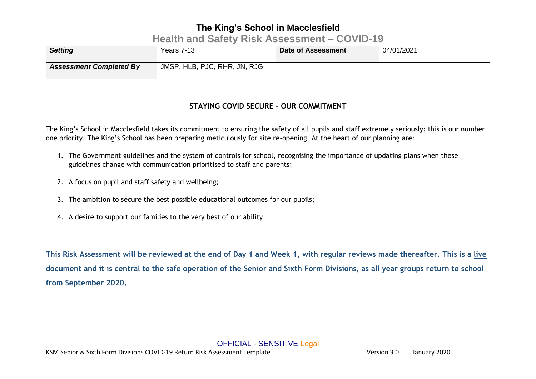### **Health and Safety Risk Assessment – COVID-19**

| <b>Setting</b>                 | Years 7-13                   | Date of Assessment | 04/01/2021 |
|--------------------------------|------------------------------|--------------------|------------|
| <b>Assessment Completed By</b> | JMSP, HLB, PJC, RHR, JN, RJG |                    |            |

### **STAYING COVID SECURE – OUR COMMITMENT**

The King's School in Macclesfield takes its commitment to ensuring the safety of all pupils and staff extremely seriously: this is our number one priority. The King's School has been preparing meticulously for site re-opening. At the heart of our planning are:

- 1. The Government guidelines and the system of controls for school, recognising the importance of updating plans when these guidelines change with communication prioritised to staff and parents;
- 2. A focus on pupil and staff safety and wellbeing;
- 3. The ambition to secure the best possible educational outcomes for our pupils;
- 4. A desire to support our families to the very best of our ability.

**This Risk Assessment will be reviewed at the end of Day 1 and Week 1, with regular reviews made thereafter. This is a live document and it is central to the safe operation of the Senior and Sixth Form Divisions, as all year groups return to school from September 2020.**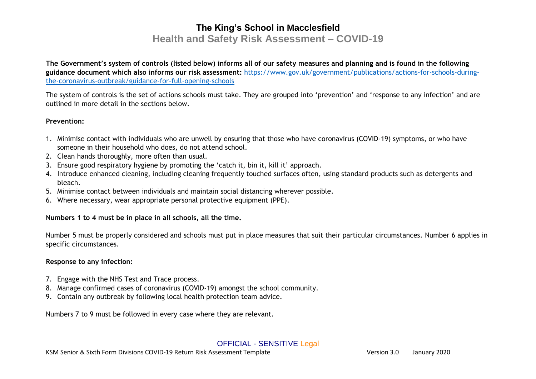### **Health and Safety Risk Assessment – COVID-19**

**The Government's system of controls (listed below) informs all of our safety measures and planning and is found in the following guidance document which also informs our risk assessment:** [https://www.gov.uk/government/publications/actions-for-schools-during](https://www.gov.uk/government/publications/actions-for-schools-during-the-coronavirus-outbreak/guidance-for-full-opening-schools)[the-coronavirus-outbreak/guidance-for-full-opening-schools](https://www.gov.uk/government/publications/actions-for-schools-during-the-coronavirus-outbreak/guidance-for-full-opening-schools)

The system of controls is the set of actions schools must take. They are grouped into 'prevention' and 'response to any infection' and are outlined in more detail in the sections below.

#### **Prevention:**

- 1. Minimise contact with individuals who are unwell by ensuring that those who have coronavirus (COVID-19) symptoms, or who have someone in their household who does, do not attend school.
- 2. Clean hands thoroughly, more often than usual.
- 3. Ensure good respiratory hygiene by promoting the 'catch it, bin it, kill it' approach.
- 4. Introduce enhanced cleaning, including cleaning frequently touched surfaces often, using standard products such as detergents and bleach.
- 5. Minimise contact between individuals and maintain social distancing wherever possible.
- 6. Where necessary, wear appropriate personal protective equipment (PPE).

#### **Numbers 1 to 4 must be in place in all schools, all the time.**

Number 5 must be properly considered and schools must put in place measures that suit their particular circumstances. Number 6 applies in specific circumstances.

#### **Response to any infection:**

- 7. Engage with the NHS Test and Trace process.
- 8. Manage confirmed cases of coronavirus (COVID-19) amongst the school community.
- 9. Contain any outbreak by following local health protection team advice.

Numbers 7 to 9 must be followed in every case where they are relevant.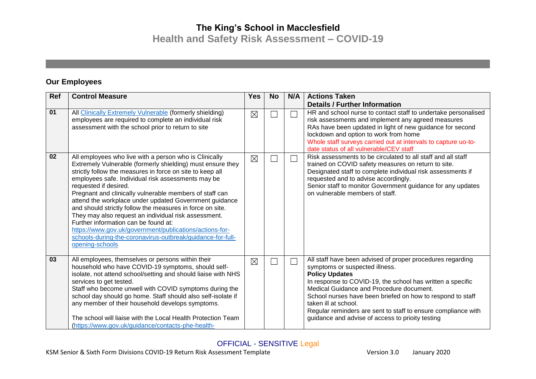**Health and Safety Risk Assessment – COVID-19**

#### **Our Employees**

| Ref | <b>Control Measure</b>                                                                                                                                                                                                                                                                                                                                                                                                                                                                                                                                                                                                                                                                         | <b>Yes</b>  | <b>No</b> | N/A | <b>Actions Taken</b>                                                                                                                                                                                                                                                                                                                                                                                                                       |
|-----|------------------------------------------------------------------------------------------------------------------------------------------------------------------------------------------------------------------------------------------------------------------------------------------------------------------------------------------------------------------------------------------------------------------------------------------------------------------------------------------------------------------------------------------------------------------------------------------------------------------------------------------------------------------------------------------------|-------------|-----------|-----|--------------------------------------------------------------------------------------------------------------------------------------------------------------------------------------------------------------------------------------------------------------------------------------------------------------------------------------------------------------------------------------------------------------------------------------------|
|     |                                                                                                                                                                                                                                                                                                                                                                                                                                                                                                                                                                                                                                                                                                |             |           |     | <b>Details / Further Information</b>                                                                                                                                                                                                                                                                                                                                                                                                       |
| 01  | All Clinically Extremely Vulnerable (formerly shielding)<br>employees are required to complete an individual risk<br>assessment with the school prior to return to site                                                                                                                                                                                                                                                                                                                                                                                                                                                                                                                        | $\boxtimes$ |           |     | HR and school nurse to contact staff to undertake personalised<br>risk assessments and implement any agreed measures<br>RAs have been updated in light of new guidance for second<br>lockdown and option to work from home<br>Whole staff surveys carried out at intervals to capture uo-to-<br>date status of all vulnerable/CEV staff                                                                                                    |
| 02  | All employees who live with a person who is Clinically<br>Extremely Vulnerable (formerly shielding) must ensure they<br>strictly follow the measures in force on site to keep all<br>employees safe. Individual risk assessments may be<br>requested if desired.<br>Pregnant and clinically vulnerable members of staff can<br>attend the workplace under updated Government guidance<br>and should strictly follow the measures in force on site.<br>They may also request an individual risk assessment.<br>Further information can be found at:<br>https://www.gov.uk/government/publications/actions-for-<br>schools-during-the-coronavirus-outbreak/guidance-for-full-<br>opening-schools | $\boxtimes$ |           |     | Risk assessments to be circulated to all staff and all staff<br>trained on COVID safety measures on return to site.<br>Designated staff to complete individual risk assessments if<br>requested and to advise accordingly.<br>Senior staff to monitor Government guidance for any updates<br>on vulnerable members of staff.                                                                                                               |
| 03  | All employees, themselves or persons within their<br>household who have COVID-19 symptoms, should self-<br>isolate, not attend school/setting and should liaise with NHS<br>services to get tested.<br>Staff who become unwell with COVID symptoms during the<br>school day should go home. Staff should also self-isolate if<br>any member of their household develops symptoms.<br>The school will liaise with the Local Health Protection Team<br>(https://www.gov.uk/guidance/contacts-phe-health-                                                                                                                                                                                         | $\boxtimes$ |           |     | All staff have been advised of proper procedures regarding<br>symptoms or suspected illness.<br><b>Policy Updates</b><br>In response to COVID-19, the school has written a specific<br>Medical Guidance and Procedure document.<br>School nurses have been briefed on how to respond to staff<br>taken ill at school.<br>Regular reminders are sent to staff to ensure compliance with<br>guidance and advise of access to prioity testing |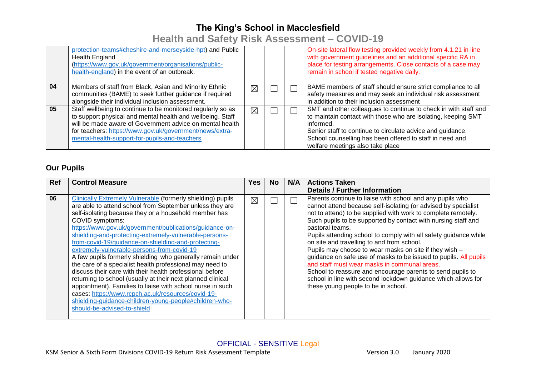**Health and Safety Risk Assessment – COVID-19**

|    | protection-teams#cheshire-and-merseyside-hpt) and Public<br><b>Health England</b><br>(https://www.gov.uk/government/organisations/public-<br>health-england) in the event of an outbreak.                                                                                                         |             |  | On-site lateral flow testing provided weekly from 4.1.21 in line<br>with government guidelines and an additional specific RA in<br>place for testing arrangements. Close contacts of a case may<br>remain in school if tested negative daily.                                                               |
|----|---------------------------------------------------------------------------------------------------------------------------------------------------------------------------------------------------------------------------------------------------------------------------------------------------|-------------|--|-------------------------------------------------------------------------------------------------------------------------------------------------------------------------------------------------------------------------------------------------------------------------------------------------------------|
| 04 | Members of staff from Black, Asian and Minority Ethnic<br>communities (BAME) to seek further guidance if required<br>alongside their individual inclusion assessment.                                                                                                                             | ⊠           |  | BAME members of staff should ensure strict compliance to all<br>safety measures and may seek an individual risk assessment<br>in addition to their inclusion assessment                                                                                                                                     |
| 05 | Staff wellbeing to continue to be monitored regularly so as<br>to support physical and mental health and wellbeing. Staff<br>will be made aware of Government advice on mental health<br>for teachers: https://www.gov.uk/government/news/extra-<br>mental-health-support-for-pupils-and-teachers | $\boxtimes$ |  | SMT and other colleagues to continue to check in with staff and<br>to maintain contact with those who are isolating, keeping SMT<br>informed.<br>Senior staff to continue to circulate advice and guidance.<br>School counselling has been offered to staff in need and<br>welfare meetings also take place |

#### **Our Pupils**

| <b>Ref</b> | <b>Control Measure</b>                                                                                                                                                                                                                                                                                                                                                                                                                                                                                                                                                                                                                                                                                                                                                                                                                                                                          | Yes. | No. | N/A | <b>Actions Taken</b>                                                                                                                                                                                                                                                                                                                                                                                                                                                                                                                                                                                                                                                                                                                                   |
|------------|-------------------------------------------------------------------------------------------------------------------------------------------------------------------------------------------------------------------------------------------------------------------------------------------------------------------------------------------------------------------------------------------------------------------------------------------------------------------------------------------------------------------------------------------------------------------------------------------------------------------------------------------------------------------------------------------------------------------------------------------------------------------------------------------------------------------------------------------------------------------------------------------------|------|-----|-----|--------------------------------------------------------------------------------------------------------------------------------------------------------------------------------------------------------------------------------------------------------------------------------------------------------------------------------------------------------------------------------------------------------------------------------------------------------------------------------------------------------------------------------------------------------------------------------------------------------------------------------------------------------------------------------------------------------------------------------------------------------|
|            |                                                                                                                                                                                                                                                                                                                                                                                                                                                                                                                                                                                                                                                                                                                                                                                                                                                                                                 |      |     |     | <b>Details / Further Information</b>                                                                                                                                                                                                                                                                                                                                                                                                                                                                                                                                                                                                                                                                                                                   |
| 06         | Clinically Extremely Vulnerable (formerly shielding) pupils<br>are able to attend school from September unless they are<br>self-isolating because they or a household member has<br>COVID symptoms:<br>https://www.gov.uk/government/publications/guidance-on-<br>shielding-and-protecting-extremely-vulnerable-persons-<br>from-covid-19/guidance-on-shielding-and-protecting-<br>extremely-vulnerable-persons-from-covid-19<br>A few pupils formerly shielding who generally remain under<br>the care of a specialist health professional may need to<br>discuss their care with their health professional before<br>returning to school (usually at their next planned clinical<br>appointment). Families to liaise with school nurse in such<br>cases: https://www.rcpch.ac.uk/resources/covid-19-<br>shielding-guidance-children-young-people#children-who-<br>should-be-advised-to-shield | ⊠    |     |     | Parents continue to liaise with school and any pupils who<br>cannot attend because self-isolating (or advised by specialist<br>not to attend) to be supplied with work to complete remotely.<br>Such pupils to be supported by contact with nursing staff and<br>pastoral teams.<br>Pupils attending school to comply with all safety guidance while<br>on site and travelling to and from school.<br>Pupils may choose to wear masks on site if they wish -<br>guidance on safe use of masks to be issued to pupils. All pupils<br>and staff must wear masks in communal areas.<br>School to reassure and encourage parents to send pupils to<br>school in line with second lockdown guidance which allows for<br>these young people to be in school- |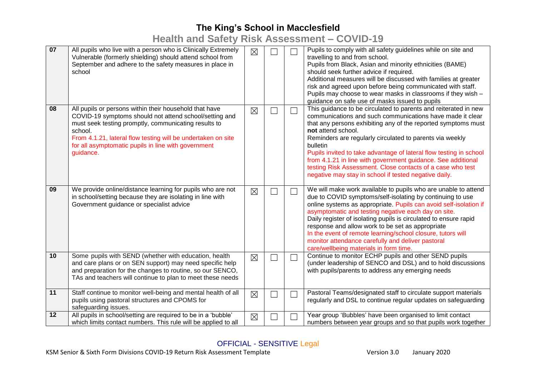**Health and Safety Risk Assessment – COVID-19**

| 07 | All pupils who live with a person who is Clinically Extremely<br>Vulnerable (formerly shielding) should attend school from<br>September and adhere to the safety measures in place in<br>school                                                                                                                         | $\boxtimes$ |        |                          | Pupils to comply with all safety guidelines while on site and<br>travelling to and from school.<br>Pupils from Black, Asian and minority ethnicities (BAME)<br>should seek further advice if required.<br>Additional measures will be discussed with families at greater<br>risk and agreed upon before being communicated with staff.<br>Pupils may choose to wear masks in classrooms if they wish -<br>guidance on safe use of masks issued to pupils                                                                                                 |
|----|-------------------------------------------------------------------------------------------------------------------------------------------------------------------------------------------------------------------------------------------------------------------------------------------------------------------------|-------------|--------|--------------------------|----------------------------------------------------------------------------------------------------------------------------------------------------------------------------------------------------------------------------------------------------------------------------------------------------------------------------------------------------------------------------------------------------------------------------------------------------------------------------------------------------------------------------------------------------------|
| 08 | All pupils or persons within their household that have<br>COVID-19 symptoms should not attend school/setting and<br>must seek testing promptly, communicating results to<br>school.<br>From 4.1.21, lateral flow testing will be undertaken on site<br>for all asymptomatic pupils in line with government<br>guidance. | $\boxtimes$ |        | $\overline{\phantom{0}}$ | This guidance to be circulated to parents and reiterated in new<br>communications and such communications have made it clear<br>that any persons exhibiting any of the reported symptoms must<br>not attend school.<br>Reminders are regularly circulated to parents via weekly<br>bulletin<br>Pupils invited to take advantage of lateral flow testing in school<br>from 4.1.21 in line with government guidance. See additional<br>testing Risk Assessment. Close contacts of a case who test<br>negative may stay in school if tested negative daily. |
| 09 | We provide online/distance learning for pupils who are not<br>in school/setting because they are isolating in line with<br>Government guidance or specialist advice                                                                                                                                                     | $\boxtimes$ |        |                          | We will make work available to pupils who are unable to attend<br>due to COVID symptoms/self-isolating by continuing to use<br>online systems as appropriate. Pupils can avoid self-isolation if<br>asymptomatic and testing negative each day on site.<br>Daily register of isolating pupils is circulated to ensure rapid<br>response and allow work to be set as appropriate<br>In the event of remote learning/school closure, tutors will<br>monitor attendance carefully and deliver pastoral<br>care/wellbeing materials in form time.            |
| 10 | Some pupils with SEND (whether with education, health<br>and care plans or on SEN support) may need specific help<br>and preparation for the changes to routine, so our SENCO,<br>TAs and teachers will continue to plan to meet these needs                                                                            | $\boxtimes$ | $\Box$ | $\overline{\phantom{0}}$ | Continue to monitor ECHP pupils and other SEND pupils<br>(under leadership of SENCO and DSL) and to hold discussions<br>with pupils/parents to address any emerging needs                                                                                                                                                                                                                                                                                                                                                                                |
| 11 | Staff continue to monitor well-being and mental health of all<br>pupils using pastoral structures and CPOMS for<br>safeguarding issues.                                                                                                                                                                                 | $\boxtimes$ | $\Box$ | ┐                        | Pastoral Teams/designated staff to circulate support materials<br>regularly and DSL to continue regular updates on safeguarding                                                                                                                                                                                                                                                                                                                                                                                                                          |
| 12 | All pupils in school/setting are required to be in a 'bubble'<br>which limits contact numbers. This rule will be applied to all                                                                                                                                                                                         | $\boxtimes$ |        |                          | Year group 'Bubbles' have been organised to limit contact<br>numbers between year groups and so that pupils work together                                                                                                                                                                                                                                                                                                                                                                                                                                |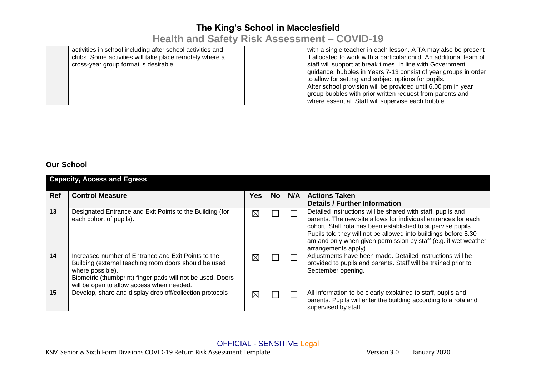# **Health and Safety Risk Assessment – COVID-19**

| activities in school including after school activities and |  | with a single teacher in each lesson. A TA may also be present      |
|------------------------------------------------------------|--|---------------------------------------------------------------------|
| clubs. Some activities will take place remotely where a    |  | if allocated to work with a particular child. An additional team of |
| cross-year group format is desirable.                      |  | staff will support at break times. In line with Government          |
|                                                            |  | guidance, bubbles in Years 7-13 consist of year groups in order     |
|                                                            |  | to allow for setting and subject options for pupils.                |
|                                                            |  | After school provision will be provided until 6.00 pm in year       |
|                                                            |  | group bubbles with prior written request from parents and           |
|                                                            |  | where essential. Staff will supervise each bubble.                  |

#### **Our School**

|            | <b>Capacity, Access and Egress</b>                                                                                                                                                                                                          |      |     |     |                                                                                                                                                                                                                                                                                                                                                            |
|------------|---------------------------------------------------------------------------------------------------------------------------------------------------------------------------------------------------------------------------------------------|------|-----|-----|------------------------------------------------------------------------------------------------------------------------------------------------------------------------------------------------------------------------------------------------------------------------------------------------------------------------------------------------------------|
| <b>Ref</b> | <b>Control Measure</b>                                                                                                                                                                                                                      | Yes. | No. | N/A | <b>Actions Taken</b><br><b>Details / Further Information</b>                                                                                                                                                                                                                                                                                               |
| 13         | Designated Entrance and Exit Points to the Building (for<br>each cohort of pupils).                                                                                                                                                         | ⊠    |     |     | Detailed instructions will be shared with staff, pupils and<br>parents. The new site allows for individual entrances for each<br>cohort. Staff rota has been established to supervise pupils.<br>Pupils told they will not be allowed into buildings before 8.30<br>am and only when given permission by staff (e.g. if wet weather<br>arrangements apply) |
| 14         | Increased number of Entrance and Exit Points to the<br>Building (external teaching room doors should be used<br>where possible).<br>Biometric (thumbprint) finger pads will not be used. Doors<br>will be open to allow access when needed. | ⊠    |     |     | Adjustments have been made. Detailed instructions will be<br>provided to pupils and parents. Staff will be trained prior to<br>September opening.                                                                                                                                                                                                          |
| 15         | Develop, share and display drop off/collection protocols                                                                                                                                                                                    | ⊠    |     |     | All information to be clearly explained to staff, pupils and<br>parents. Pupils will enter the building according to a rota and<br>supervised by staff.                                                                                                                                                                                                    |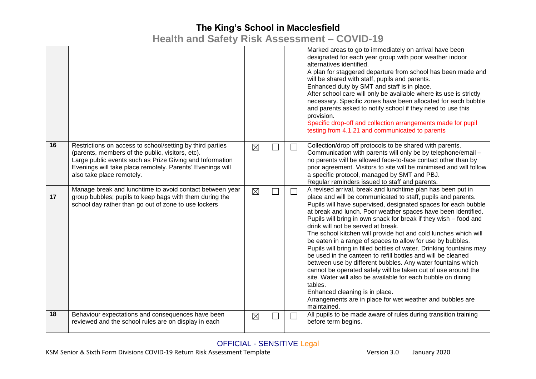**Health and Safety Risk Assessment – COVID-19**

|    |                                                                                                                                                                                                                                                                     |             |        | Marked areas to go to immediately on arrival have been<br>designated for each year group with poor weather indoor<br>alternatives identified.<br>A plan for staggered departure from school has been made and<br>will be shared with staff, pupils and parents.<br>Enhanced duty by SMT and staff is in place.<br>After school care will only be available where its use is strictly<br>necessary. Specific zones have been allocated for each bubble<br>and parents asked to notify school if they need to use this<br>provision.<br>Specific drop-off and collection arrangements made for pupil<br>testing from 4.1.21 and communicated to parents                                                                                                                                                                                                                                                                                                                      |
|----|---------------------------------------------------------------------------------------------------------------------------------------------------------------------------------------------------------------------------------------------------------------------|-------------|--------|----------------------------------------------------------------------------------------------------------------------------------------------------------------------------------------------------------------------------------------------------------------------------------------------------------------------------------------------------------------------------------------------------------------------------------------------------------------------------------------------------------------------------------------------------------------------------------------------------------------------------------------------------------------------------------------------------------------------------------------------------------------------------------------------------------------------------------------------------------------------------------------------------------------------------------------------------------------------------|
| 16 | Restrictions on access to school/setting by third parties<br>(parents, members of the public, visitors, etc).<br>Large public events such as Prize Giving and Information<br>Evenings will take place remotely. Parents' Evenings will<br>also take place remotely. | $\boxtimes$ | $\Box$ | Collection/drop off protocols to be shared with parents.<br>Communication with parents will only be by telephone/email -<br>no parents will be allowed face-to-face contact other than by<br>prior agreement. Visitors to site will be minimised and will follow<br>a specific protocol, managed by SMT and PBJ.<br>Regular reminders issued to staff and parents.                                                                                                                                                                                                                                                                                                                                                                                                                                                                                                                                                                                                         |
| 17 | Manage break and lunchtime to avoid contact between year<br>group bubbles; pupils to keep bags with them during the<br>school day rather than go out of zone to use lockers                                                                                         | $\boxtimes$ |        | A revised arrival, break and lunchtime plan has been put in<br>place and will be communicated to staff, pupils and parents.<br>Pupils will have supervised, designated spaces for each bubble<br>at break and lunch. Poor weather spaces have been identified.<br>Pupils will bring in own snack for break if they wish - food and<br>drink will not be served at break.<br>The school kitchen will provide hot and cold lunches which will<br>be eaten in a range of spaces to allow for use by bubbles.<br>Pupils will bring in filled bottles of water. Drinking fountains may<br>be used in the canteen to refill bottles and will be cleaned<br>between use by different bubbles. Any water fountains which<br>cannot be operated safely will be taken out of use around the<br>site. Water will also be available for each bubble on dining<br>tables.<br>Enhanced cleaning is in place.<br>Arrangements are in place for wet weather and bubbles are<br>maintained. |
| 18 | Behaviour expectations and consequences have been<br>reviewed and the school rules are on display in each                                                                                                                                                           | $\boxtimes$ |        | All pupils to be made aware of rules during transition training<br>before term begins.                                                                                                                                                                                                                                                                                                                                                                                                                                                                                                                                                                                                                                                                                                                                                                                                                                                                                     |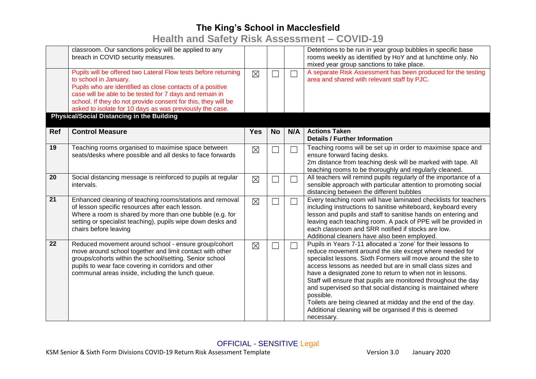**Health and Safety Risk Assessment – COVID-19**

|            | classroom. Our sanctions policy will be applied to any<br>breach in COVID security measures.                                                                                                                                                                                                                                                 |             |           |                          | Detentions to be run in year group bubbles in specific base<br>rooms weekly as identified by HoY and at lunchtime only. No<br>mixed year group sanctions to take place.                                                                                                                                                                                                                                                                                                                                                                                                                                   |
|------------|----------------------------------------------------------------------------------------------------------------------------------------------------------------------------------------------------------------------------------------------------------------------------------------------------------------------------------------------|-------------|-----------|--------------------------|-----------------------------------------------------------------------------------------------------------------------------------------------------------------------------------------------------------------------------------------------------------------------------------------------------------------------------------------------------------------------------------------------------------------------------------------------------------------------------------------------------------------------------------------------------------------------------------------------------------|
|            | Pupils will be offered two Lateral Flow tests before returning<br>to school in January.<br>Pupils who are identified as close contacts of a positive<br>case will be able to be tested for 7 days and remain in<br>school. If they do not provide consent for this, they will be<br>asked to isolate for 10 days as was previously the case. | $\boxtimes$ |           |                          | A separate Risk Assessment has been produced for the testing<br>area and shared with relevant staff by PJC.                                                                                                                                                                                                                                                                                                                                                                                                                                                                                               |
|            | <b>Physical/Social Distancing in the Building</b>                                                                                                                                                                                                                                                                                            |             |           |                          |                                                                                                                                                                                                                                                                                                                                                                                                                                                                                                                                                                                                           |
| <b>Ref</b> | <b>Control Measure</b>                                                                                                                                                                                                                                                                                                                       | <b>Yes</b>  | <b>No</b> | N/A                      | <b>Actions Taken</b><br><b>Details / Further Information</b>                                                                                                                                                                                                                                                                                                                                                                                                                                                                                                                                              |
| 19         | Teaching rooms organised to maximise space between<br>seats/desks where possible and all desks to face forwards                                                                                                                                                                                                                              | $\boxtimes$ |           | $\sim$                   | Teaching rooms will be set up in order to maximise space and<br>ensure forward facing desks.<br>2m distance from teaching desk will be marked with tape. All<br>teaching rooms to be thoroughly and regularly cleaned.                                                                                                                                                                                                                                                                                                                                                                                    |
| 20         | Social distancing message is reinforced to pupils at regular<br>intervals.                                                                                                                                                                                                                                                                   | $\boxtimes$ |           | $\overline{\phantom{0}}$ | All teachers will remind pupils regularly of the importance of a<br>sensible approach with particular attention to promoting social<br>distancing between the different bubbles                                                                                                                                                                                                                                                                                                                                                                                                                           |
| 21         | Enhanced cleaning of teaching rooms/stations and removal<br>of lesson specific resources after each lesson.<br>Where a room is shared by more than one bubble (e.g. for<br>setting or specialist teaching), pupils wipe down desks and<br>chairs before leaving                                                                              | $\boxtimes$ |           | $\Box$                   | Every teaching room will have laminated checklists for teachers<br>including instructions to sanitise whiteboard, keyboard every<br>lesson and pupils and staff to sanitise hands on entering and<br>leaving each teaching room. A pack of PPE will be provided in<br>each classroom and SRR notified if stocks are low.<br>Additional cleaners have also been employed.                                                                                                                                                                                                                                  |
| 22         | Reduced movement around school - ensure group/cohort<br>move around school together and limit contact with other<br>groups/cohorts within the school/setting. Senior school<br>pupils to wear face covering in corridors and other<br>communal areas inside, including the lunch queue.                                                      | $\boxtimes$ |           | $\Box$                   | Pupils in Years 7-11 allocated a 'zone' for their lessons to<br>reduce movement around the site except where needed for<br>specialist lessons. Sixth Formers will move around the site to<br>access lessons as needed but are in small class sizes and<br>have a designated zone to return to when not in lessons.<br>Staff will ensure that pupils are monitored throughout the day<br>and supervised so that social distancing is maintained where<br>possible.<br>Toilets are being cleaned at midday and the end of the day.<br>Additional cleaning will be organised if this is deemed<br>necessary. |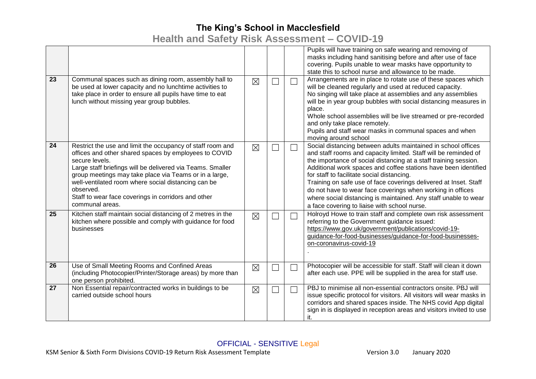**Health and Safety Risk Assessment – COVID-19**

|    |                                                                                                                                                                                                                                                                                                                                                                                                             |             |        | Pupils will have training on safe wearing and removing of<br>masks including hand sanitising before and after use of face<br>covering. Pupils unable to wear masks have opportunity to<br>state this to school nurse and allowance to be made.                                                                                                                                                                                                                                                                                                                             |
|----|-------------------------------------------------------------------------------------------------------------------------------------------------------------------------------------------------------------------------------------------------------------------------------------------------------------------------------------------------------------------------------------------------------------|-------------|--------|----------------------------------------------------------------------------------------------------------------------------------------------------------------------------------------------------------------------------------------------------------------------------------------------------------------------------------------------------------------------------------------------------------------------------------------------------------------------------------------------------------------------------------------------------------------------------|
| 23 | Communal spaces such as dining room, assembly hall to<br>be used at lower capacity and no lunchtime activities to<br>take place in order to ensure all pupils have time to eat<br>lunch without missing year group bubbles.                                                                                                                                                                                 | $\boxtimes$ |        | Arrangements are in place to rotate use of these spaces which<br>will be cleaned regularly and used at reduced capacity.<br>No singing will take place at assemblies and any assemblies<br>will be in year group bubbles with social distancing measures in<br>place.<br>Whole school assemblies will be live streamed or pre-recorded<br>and only take place remotely.<br>Pupils and staff wear masks in communal spaces and when<br>moving around school                                                                                                                 |
| 24 | Restrict the use and limit the occupancy of staff room and<br>offices and other shared spaces by employees to COVID<br>secure levels.<br>Large staff briefings will be delivered via Teams. Smaller<br>group meetings may take place via Teams or in a large,<br>well-ventilated room where social distancing can be<br>observed.<br>Staff to wear face coverings in corridors and other<br>communal areas. | $\boxtimes$ | $\Box$ | Social distancing between adults maintained in school offices<br>and staff rooms and capacity limited. Staff will be reminded of<br>the importance of social distancing at a staff training session.<br>Additional work spaces and coffee stations have been identified<br>for staff to facilitate social distancing.<br>Training on safe use of face coverings delivered at Inset. Staff<br>do not have to wear face coverings when working in offices<br>where social distancing is maintained. Any staff unable to wear<br>a face covering to liaise with school nurse. |
| 25 | Kitchen staff maintain social distancing of 2 metres in the<br>kitchen where possible and comply with guidance for food<br>businesses                                                                                                                                                                                                                                                                       | $\boxtimes$ | $\Box$ | Holroyd Howe to train staff and complete own risk assessment<br>referring to the Government guidance issued:<br>https://www.gov.uk/government/publications/covid-19-<br>guidance-for-food-businesses/guidance-for-food-businesses-<br>on-coronavirus-covid-19                                                                                                                                                                                                                                                                                                              |
| 26 | Use of Small Meeting Rooms and Confined Areas<br>(including Photocopier/Printer/Storage areas) by more than<br>one person prohibited.                                                                                                                                                                                                                                                                       | $\boxtimes$ |        | Photocopier will be accessible for staff. Staff will clean it down<br>after each use. PPE will be supplied in the area for staff use.                                                                                                                                                                                                                                                                                                                                                                                                                                      |
| 27 | Non Essential repair/contracted works in buildings to be<br>carried outside school hours                                                                                                                                                                                                                                                                                                                    | $\boxtimes$ |        | PBJ to minimise all non-essential contractors onsite. PBJ will<br>issue specific protocol for visitors. All visitors will wear masks in<br>corridors and shared spaces inside. The NHS covid App digital<br>sign in is displayed in reception areas and visitors invited to use<br>it.                                                                                                                                                                                                                                                                                     |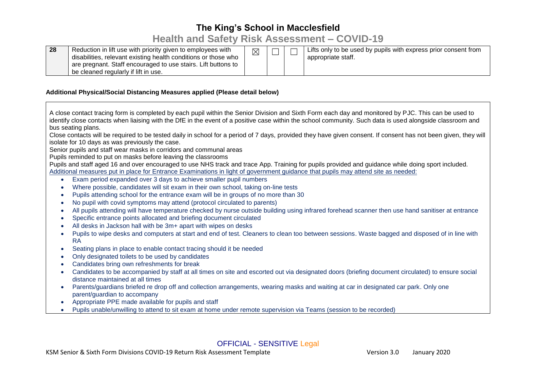### **Health and Safety Risk Assessment – COVID-19**

| 28 | Reduction in lift use with priority given to employees with<br>disabilities, relevant existing health conditions or those who<br>are pregnant. Staff encouraged to use stairs. Lift buttons to<br>be cleaned regularly if lift in use. | $\boxtimes$ |  |  | Lifts only to be used by pupils with express prior consent from<br>appropriate staff. |
|----|----------------------------------------------------------------------------------------------------------------------------------------------------------------------------------------------------------------------------------------|-------------|--|--|---------------------------------------------------------------------------------------|
|----|----------------------------------------------------------------------------------------------------------------------------------------------------------------------------------------------------------------------------------------|-------------|--|--|---------------------------------------------------------------------------------------|

#### **Additional Physical/Social Distancing Measures applied (Please detail below)**

A close contact tracing form is completed by each pupil within the Senior Division and Sixth Form each day and monitored by PJC. This can be used to identify close contacts when liaising with the DfE in the event of a positive case within the school community. Such data is used alongside classroom and bus seating plans.

Close contacts will be required to be tested daily in school for a period of 7 days, provided they have given consent. If consent has not been given, they will isolate for 10 days as was previously the case.

Senior pupils and staff wear masks in corridors and communal areas

Pupils reminded to put on masks before leaving the classrooms

Pupils and staff aged 16 and over encouraged to use NHS track and trace App. Training for pupils provided and guidance while doing sport included. Additional measures put in place for Entrance Examinations in light of government guidance that pupils may attend site as needed:

- Exam period expanded over 3 days to achieve smaller pupil numbers
- Where possible, candidates will sit exam in their own school, taking on-line tests
- Pupils attending school for the entrance exam will be in groups of no more than 30
- No pupil with covid symptoms may attend (protocol circulated to parents)
- All pupils attending will have temperature checked by nurse outside building using infrared forehead scanner then use hand sanitiser at entrance
- Specific entrance points allocated and briefing document circulated
- All desks in Jackson hall with be 3m+ apart with wipes on desks
- Pupils to wipe desks and computers at start and end of test. Cleaners to clean too between sessions. Waste bagged and disposed of in line with RA
- Seating plans in place to enable contact tracing should it be needed
- Only designated toilets to be used by candidates
- Candidates bring own refreshments for break
- Candidates to be accompanied by staff at all times on site and escorted out via designated doors (briefing document circulated) to ensure social distance maintained at all times
- Parents/guardians briefed re drop off and collection arrangements, wearing masks and waiting at car in designated car park. Only one parent/guardian to accompany
- Appropriate PPE made available for pupils and staff
- Pupils unable/unwilling to attend to sit exam at home under remote supervision via Teams (session to be recorded)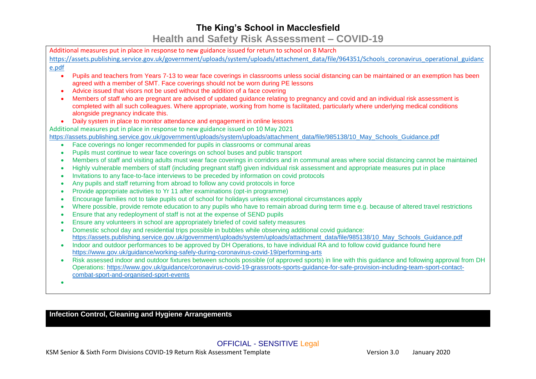## **The King's School in Macclesfield Health and Safety Risk Assessment – COVID-19**

| Additional measures put in place in response to new guidance issued for return to school on 8 March                                                                                                                                                                                                                                    |
|----------------------------------------------------------------------------------------------------------------------------------------------------------------------------------------------------------------------------------------------------------------------------------------------------------------------------------------|
| https://assets.publishing.service.gov.uk/government/uploads/system/uploads/attachment data/file/964351/Schools coronavirus operational guidanc                                                                                                                                                                                         |
| e.pdf                                                                                                                                                                                                                                                                                                                                  |
| Pupils and teachers from Years 7-13 to wear face coverings in classrooms unless social distancing can be maintained or an exemption has been<br>$\bullet$<br>agreed with a member of SMT. Face coverings should not be worn during PE lessons                                                                                          |
| Advice issued that visors not be used without the addition of a face covering<br>$\bullet$                                                                                                                                                                                                                                             |
| Members of staff who are pregnant are advised of updated guidance relating to pregnancy and covid and an individual risk assessment is<br>$\bullet$<br>completed with all such colleagues. Where appropriate, working from home is facilitated, particularly where underlying medical conditions<br>alongside pregnancy indicate this. |
| Daily system in place to monitor attendance and engagement in online lessons<br>$\bullet$                                                                                                                                                                                                                                              |
| Additional measures put in place in response to new guidance issued on 10 May 2021                                                                                                                                                                                                                                                     |
| https://assets.publishing.service.gov.uk/government/uploads/system/uploads/attachment_data/file/985138/10_May_Schools_Guidance.pdf                                                                                                                                                                                                     |
| Face coverings no longer recommended for pupils in classrooms or communal areas<br>$\bullet$                                                                                                                                                                                                                                           |
| Pupils must continue to wear face coverings on school buses and public transport<br>٠                                                                                                                                                                                                                                                  |
| Members of staff and visiting adults must wear face coverings in corridors and in communal areas where social distancing cannot be maintained<br>$\bullet$<br>Highly vulnerable members of staff (including pregnant staff) given individual risk assessment and appropriate measures put in place<br>$\bullet$                        |
| Invitations to any face-to-face interviews to be preceded by information on covid protocols<br>$\bullet$                                                                                                                                                                                                                               |
| Any pupils and staff returning from abroad to follow any covid protocols in force<br>$\bullet$                                                                                                                                                                                                                                         |
| Provide appropriate activities to Yr 11 after examinations (opt-in programme)<br>$\bullet$                                                                                                                                                                                                                                             |
| Encourage families not to take pupils out of school for holidays unless exceptional circumstances apply<br>$\bullet$                                                                                                                                                                                                                   |
| Where possible, provide remote education to any pupils who have to remain abroad during term time e.g. because of altered travel restrictions<br>$\bullet$<br>Ensure that any redeployment of staff is not at the expense of SEND pupils<br>$\bullet$                                                                                  |
| Ensure any volunteers in school are appropriately briefed of covid safety measures<br>$\bullet$                                                                                                                                                                                                                                        |
| Domestic school day and residential trips possible in bubbles while observing additional covid guidance:<br>$\bullet$                                                                                                                                                                                                                  |
| https://assets.publishing.service.gov.uk/government/uploads/system/uploads/attachment_data/file/985138/10_May_Schools_Guidance.pdf                                                                                                                                                                                                     |
| Indoor and outdoor performances to be approved by DH Operations, to have individual RA and to follow covid guidance found here<br>$\bullet$                                                                                                                                                                                            |
| https://www.gov.uk/guidance/working-safely-during-coronavirus-covid-19/performing-arts                                                                                                                                                                                                                                                 |
| Risk assessed indoor and outdoor fixtures between schools possible (of approved sports) in line with this guidance and following approval from DH<br>$\bullet$                                                                                                                                                                         |
| Operations: https://www.gov.uk/guidance/coronavirus-covid-19-grassroots-sports-guidance-for-safe-provision-including-team-sport-contact-                                                                                                                                                                                               |
| combat-sport-and-organised-sport-events                                                                                                                                                                                                                                                                                                |
|                                                                                                                                                                                                                                                                                                                                        |
|                                                                                                                                                                                                                                                                                                                                        |

**Infection Control, Cleaning and Hygiene Arrangements**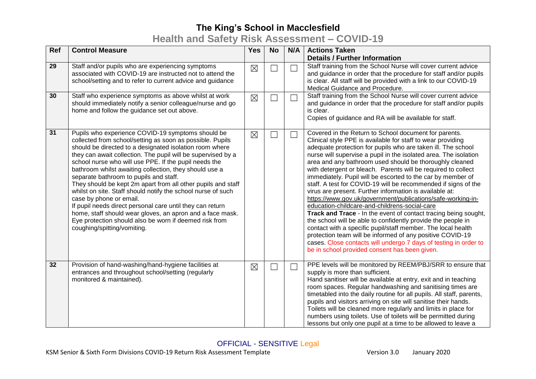## **Health and Safety Risk Assessment – COVID-19**

| Ref | <b>Control Measure</b>                                                                                                                                                                                                                                                                                                                                                                                                                                                                                                                                                                                                                                                                                                                                                               | <b>Yes</b>  | <b>No</b>                | N/A    | <b>Actions Taken</b><br><b>Details / Further Information</b>                                                                                                                                                                                                                                                                                                                                                                                                                                                                                                                                                                                                                                                                                                                                                                                                                                                                                                                                                                                                                          |
|-----|--------------------------------------------------------------------------------------------------------------------------------------------------------------------------------------------------------------------------------------------------------------------------------------------------------------------------------------------------------------------------------------------------------------------------------------------------------------------------------------------------------------------------------------------------------------------------------------------------------------------------------------------------------------------------------------------------------------------------------------------------------------------------------------|-------------|--------------------------|--------|---------------------------------------------------------------------------------------------------------------------------------------------------------------------------------------------------------------------------------------------------------------------------------------------------------------------------------------------------------------------------------------------------------------------------------------------------------------------------------------------------------------------------------------------------------------------------------------------------------------------------------------------------------------------------------------------------------------------------------------------------------------------------------------------------------------------------------------------------------------------------------------------------------------------------------------------------------------------------------------------------------------------------------------------------------------------------------------|
| 29  | Staff and/or pupils who are experiencing symptoms<br>associated with COVID-19 are instructed not to attend the<br>school/setting and to refer to current advice and guidance                                                                                                                                                                                                                                                                                                                                                                                                                                                                                                                                                                                                         | $\boxtimes$ | $\sim$                   | ┓      | Staff training from the School Nurse will cover current advice<br>and guidance in order that the procedure for staff and/or pupils<br>is clear. All staff will be provided with a link to our COVID-19<br>Medical Guidance and Procedure.                                                                                                                                                                                                                                                                                                                                                                                                                                                                                                                                                                                                                                                                                                                                                                                                                                             |
| 30  | Staff who experience symptoms as above whilst at work<br>should immediately notify a senior colleague/nurse and go<br>home and follow the guidance set out above.                                                                                                                                                                                                                                                                                                                                                                                                                                                                                                                                                                                                                    | $\boxtimes$ |                          | ┓      | Staff training from the School Nurse will cover current advice<br>and guidance in order that the procedure for staff and/or pupils<br>is clear.<br>Copies of guidance and RA will be available for staff.                                                                                                                                                                                                                                                                                                                                                                                                                                                                                                                                                                                                                                                                                                                                                                                                                                                                             |
| 31  | Pupils who experience COVID-19 symptoms should be<br>collected from school/setting as soon as possible. Pupils<br>should be directed to a designated isolation room where<br>they can await collection. The pupil will be supervised by a<br>school nurse who will use PPE. If the pupil needs the<br>bathroom whilst awaiting collection, they should use a<br>separate bathroom to pupils and staff.<br>They should be kept 2m apart from all other pupils and staff<br>whilst on site. Staff should notify the school nurse of such<br>case by phone or email.<br>If pupil needs direct personal care until they can return<br>home, staff should wear gloves, an apron and a face mask.<br>Eye protection should also be worn if deemed risk from<br>coughing/spitting/vomiting. | $\boxtimes$ |                          | $\Box$ | Covered in the Return to School document for parents.<br>Clinical style PPE is available for staff to wear providing<br>adequate protection for pupils who are taken ill. The school<br>nurse will supervise a pupil in the isolated area. The isolation<br>area and any bathroom used should be thoroughly cleaned<br>with detergent or bleach. Parents will be required to collect<br>immediately. Pupil will be escorted to the car by member of<br>staff. A test for COVID-19 will be recommended if signs of the<br>virus are present. Further information is available at:<br>https://www.gov.uk/government/publications/safe-working-in-<br>education-childcare-and-childrens-social-care<br>Track and Trace - In the event of contact tracing being sought,<br>the school will be able to confidently provide the people in<br>contact with a specific pupil/staff member. The local health<br>protection team will be informed of any positive COVID-19<br>cases. Close contacts will undergo 7 days of testing in order to<br>be in school provided consent has been given. |
| 32  | Provision of hand-washing/hand-hygiene facilities at<br>entrances and throughout school/setting (regularly<br>monitored & maintained).                                                                                                                                                                                                                                                                                                                                                                                                                                                                                                                                                                                                                                               | $\boxtimes$ | $\overline{\mathcal{L}}$ | $\Box$ | PPE levels will be monitored by REEM/PBJ/SRR to ensure that<br>supply is more than sufficient.<br>Hand sanitiser will be available at entry, exit and in teaching<br>room spaces. Regular handwashing and sanitising times are<br>timetabled into the daily routine for all pupils. All staff, parents,<br>pupils and visitors arriving on site will sanitise their hands.<br>Toilets will be cleaned more regularly and limits in place for<br>numbers using toilets. Use of toilets will be permitted during<br>lessons but only one pupil at a time to be allowed to leave a                                                                                                                                                                                                                                                                                                                                                                                                                                                                                                       |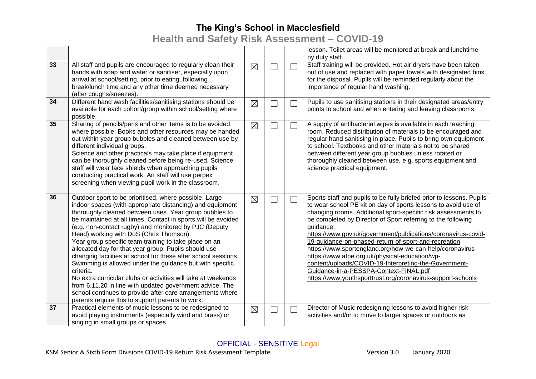# **Health and Safety Risk Assessment – COVID-19**

|    |                                                                                                                                                                                                                                                                                                                                                                                                                                                                                                                                                                                                                                                                                                                                                                                                                                                              |             |        |        | lesson. Toilet areas will be monitored at break and lunchtime<br>by duty staff.                                                                                                                                                                                                                                                                                                                                                                                                                                                                                                                                                                                                               |
|----|--------------------------------------------------------------------------------------------------------------------------------------------------------------------------------------------------------------------------------------------------------------------------------------------------------------------------------------------------------------------------------------------------------------------------------------------------------------------------------------------------------------------------------------------------------------------------------------------------------------------------------------------------------------------------------------------------------------------------------------------------------------------------------------------------------------------------------------------------------------|-------------|--------|--------|-----------------------------------------------------------------------------------------------------------------------------------------------------------------------------------------------------------------------------------------------------------------------------------------------------------------------------------------------------------------------------------------------------------------------------------------------------------------------------------------------------------------------------------------------------------------------------------------------------------------------------------------------------------------------------------------------|
| 33 | All staff and pupils are encouraged to regularly clean their<br>hands with soap and water or sanitiser, especially upon<br>arrival at school/setting, prior to eating, following<br>break/lunch time and any other time deemed necessary<br>(after coughs/sneezes).                                                                                                                                                                                                                                                                                                                                                                                                                                                                                                                                                                                          | $\boxtimes$ | $\Box$ | $\Box$ | Staff training will be provided. Hot air dryers have been taken<br>out of use and replaced with paper towels with designated bins<br>for the disposal. Pupils will be reminded regularly about the<br>importance of regular hand washing.                                                                                                                                                                                                                                                                                                                                                                                                                                                     |
| 34 | Different hand wash facilities/sanitising stations should be<br>available for each cohort/group within school/setting where<br>possible.                                                                                                                                                                                                                                                                                                                                                                                                                                                                                                                                                                                                                                                                                                                     | $\boxtimes$ |        | $\Box$ | Pupils to use sanitising stations in their designated areas/entry<br>points to school and when entering and leaving classrooms                                                                                                                                                                                                                                                                                                                                                                                                                                                                                                                                                                |
| 35 | Sharing of pencils/pens and other items is to be avoided<br>where possible. Books and other resources may be handed<br>out within year group bubbles and cleaned between use by<br>different individual groups.<br>Science and other practicals may take place if equipment<br>can be thoroughly cleaned before being re-used. Science<br>staff will wear face shields when approaching pupils<br>conducting practical work. Art staff will use perpex<br>screening when viewing pupil work in the classroom.                                                                                                                                                                                                                                                                                                                                                | $\boxtimes$ |        | $\Box$ | A supply of antibacterial wipes is available in each teaching<br>room. Reduced distribution of materials to be encouraged and<br>regular hand sanitising in place. Pupils to bring own equipment<br>to school. Textbooks and other materials not to be shared<br>between different year group bubbles unless rotated or<br>thoroughly cleaned between use, e.g. sports equipment and<br>science practical equipment.                                                                                                                                                                                                                                                                          |
| 36 | Outdoor sport to be prioritised, where possible. Large<br>indoor spaces (with appropriate distancing) and equipment<br>thoroughly cleaned between uses. Year group bubbles to<br>be maintained at all times. Contact in sports will be avoided<br>(e.g. non-contact rugby) and monitored by PJC (Deputy<br>Head) working with DoS (Chris Thomson).<br>Year group specific team training to take place on an<br>allocated day for that year group. Pupils should use<br>changing facilities at school for these after school sessions.<br>Swimming is allowed under the guidance but with specific<br>criteria.<br>No extra curricular clubs or activities will take at weekends<br>from 6.11.20 in line with updated government advice. The<br>school continues to provide after care arrangements where<br>parents require this to support parents to work. | $\boxtimes$ | Ξ      | $\Box$ | Sports staff and pupils to be fully briefed prior to lessons. Pupils<br>to wear school PE kit on day of sports lessons to avoid use of<br>changing rooms. Additional sport-specific risk assessments to<br>be completed by Director of Sport referring to the following<br>guidance:<br>https://www.gov.uk/government/publications/coronavirus-covid-<br>19-guidance-on-phased-return-of-sport-and-recreation<br>https://www.sportengland.org/how-we-can-help/coronavirus<br>https://www.afpe.org.uk/physical-education/wp-<br>content/uploads/COVID-19-Interpreting-the-Government-<br>Guidance-in-a-PESSPA-Context-FINAL.pdf<br>https://www.youthsporttrust.org/coronavirus-support-schools |
| 37 | Practical elements of music lessons to be redesigned to<br>avoid playing instruments (especially wind and brass) or<br>singing in small groups or spaces.                                                                                                                                                                                                                                                                                                                                                                                                                                                                                                                                                                                                                                                                                                    | $\boxtimes$ | Ξ      | П      | Director of Music redesigning lessons to avoid higher risk<br>activities and/or to move to larger spaces or outdoors as                                                                                                                                                                                                                                                                                                                                                                                                                                                                                                                                                                       |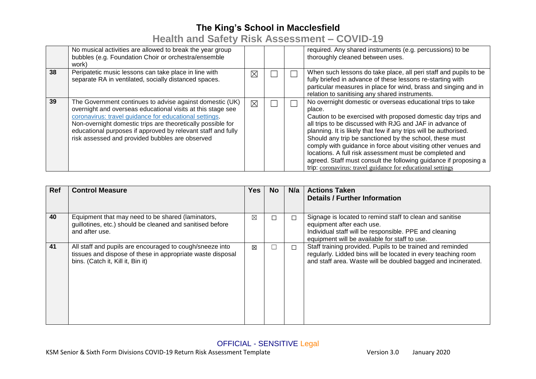# **Health and Safety Risk Assessment – COVID-19**

|    | No musical activities are allowed to break the year group<br>bubbles (e.g. Foundation Choir or orchestra/ensemble<br>work)                                                                                                                                                                                                                                          |             |  | required. Any shared instruments (e.g. percussions) to be<br>thoroughly cleaned between uses.                                                                                                                                                                                                                                                                                                                                                                                                                                                                                                   |
|----|---------------------------------------------------------------------------------------------------------------------------------------------------------------------------------------------------------------------------------------------------------------------------------------------------------------------------------------------------------------------|-------------|--|-------------------------------------------------------------------------------------------------------------------------------------------------------------------------------------------------------------------------------------------------------------------------------------------------------------------------------------------------------------------------------------------------------------------------------------------------------------------------------------------------------------------------------------------------------------------------------------------------|
| 38 | Peripatetic music lessons can take place in line with<br>separate RA in ventilated, socially distanced spaces.                                                                                                                                                                                                                                                      | $\boxtimes$ |  | When such lessons do take place, all peri staff and pupils to be<br>fully briefed in advance of these lessons re-starting with<br>particular measures in place for wind, brass and singing and in<br>relation to sanitising any shared instruments.                                                                                                                                                                                                                                                                                                                                             |
| 39 | The Government continues to advise against domestic (UK)<br>overnight and overseas educational visits at this stage see<br>coronavirus: travel guidance for educational settings.<br>Non-overnight domestic trips are theoretically possible for<br>educational purposes if approved by relevant staff and fully<br>risk assessed and provided bubbles are observed | ⊠           |  | No overnight domestic or overseas educational trips to take<br>place.<br>Caution to be exercised with proposed domestic day trips and<br>all trips to be discussed with RJG and JAF in advance of<br>planning. It is likely that few if any trips will be authorised.<br>Should any trip be sanctioned by the school, these must<br>comply with guidance in force about visiting other venues and<br>locations. A full risk assessment must be completed and<br>agreed. Staff must consult the following guidance if proposing a<br>trip: coronavirus: travel guidance for educational settings |

| <b>Ref</b> | <b>Control Measure</b>                                                                                                                                      | Yes. | No. | N/a | <b>Actions Taken</b><br><b>Details / Further Information</b>                                                                                                                                     |
|------------|-------------------------------------------------------------------------------------------------------------------------------------------------------------|------|-----|-----|--------------------------------------------------------------------------------------------------------------------------------------------------------------------------------------------------|
| 40         | Equipment that may need to be shared (laminators,<br>guillotines, etc.) should be cleaned and sanitised before<br>and after use.                            | ⊠    | □   | □   | Signage is located to remind staff to clean and sanitise<br>equipment after each use.<br>Individual staff will be responsible. PPE and cleaning<br>equipment will be available for staff to use. |
| 41         | All staff and pupils are encouraged to cough/sneeze into<br>tissues and dispose of these in appropriate waste disposal<br>bins. (Catch it, Kill it, Bin it) | 冈    |     | П   | Staff training provided. Pupils to be trained and reminded<br>regularly. Lidded bins will be located in every teaching room<br>and staff area. Waste will be doubled bagged and incinerated.     |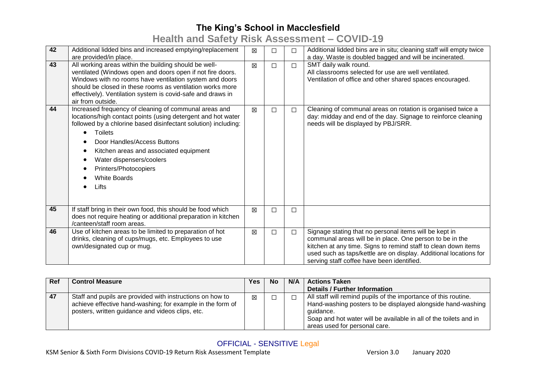## **Health and Safety Risk Assessment – COVID-19**

| 42 | Additional lidded bins and increased emptying/replacement<br>are provided/in place.                                                                                                                                                                                                                                                                                     | 区 | П      | П      | Additional lidded bins are in situ; cleaning staff will empty twice<br>a day. Waste is doubled bagged and will be incinerated.                                                                                                                                                                          |
|----|-------------------------------------------------------------------------------------------------------------------------------------------------------------------------------------------------------------------------------------------------------------------------------------------------------------------------------------------------------------------------|---|--------|--------|---------------------------------------------------------------------------------------------------------------------------------------------------------------------------------------------------------------------------------------------------------------------------------------------------------|
| 43 | All working areas within the building should be well-<br>ventilated (Windows open and doors open if not fire doors.<br>Windows with no rooms have ventilation system and doors<br>should be closed in these rooms as ventilation works more<br>effectively). Ventilation system is covid-safe and draws in<br>air from outside.                                         | 区 | □      | $\Box$ | SMT daily walk round.<br>All classrooms selected for use are well ventilated.<br>Ventilation of office and other shared spaces encouraged.                                                                                                                                                              |
| 44 | Increased frequency of cleaning of communal areas and<br>locations/high contact points (using detergent and hot water<br>followed by a chlorine based disinfectant solution) including:<br><b>Toilets</b><br>Door Handles/Access Buttons<br>Kitchen areas and associated equipment<br>Water dispensers/coolers<br>Printers/Photocopiers<br><b>White Boards</b><br>Lifts | 冈 | П      | $\Box$ | Cleaning of communal areas on rotation is organised twice a<br>day: midday and end of the day. Signage to reinforce cleaning<br>needs will be displayed by PBJ/SRR.                                                                                                                                     |
| 45 | If staff bring in their own food, this should be food which<br>does not require heating or additional preparation in kitchen<br>/canteen/staff room areas.                                                                                                                                                                                                              | X | $\Box$ | $\Box$ |                                                                                                                                                                                                                                                                                                         |
| 46 | Use of kitchen areas to be limited to preparation of hot<br>drinks, cleaning of cups/mugs, etc. Employees to use<br>own/designated cup or mug.                                                                                                                                                                                                                          | 冈 | □      | $\Box$ | Signage stating that no personal items will be kept in<br>communal areas will be in place. One person to be in the<br>kitchen at any time. Signs to remind staff to clean down items<br>used such as taps/kettle are on display. Additional locations for<br>serving staff coffee have been identified. |

| <b>Ref</b> | <b>Control Measure</b>                                                                                                                                                      | Yes | No | N/A | <b>Actions Taken</b>                                                                                                                                                                                                                              |
|------------|-----------------------------------------------------------------------------------------------------------------------------------------------------------------------------|-----|----|-----|---------------------------------------------------------------------------------------------------------------------------------------------------------------------------------------------------------------------------------------------------|
|            |                                                                                                                                                                             |     |    |     | <b>Details / Further Information</b>                                                                                                                                                                                                              |
| $\vert$ 47 | Staff and pupils are provided with instructions on how to<br>achieve effective hand-washing; for example in the form of<br>posters, written guidance and videos clips, etc. | 区   |    |     | All staff will remind pupils of the importance of this routine.<br>Hand-washing posters to be displayed alongside hand-washing<br>quidance.<br>Soap and hot water will be available in all of the toilets and in<br>areas used for personal care. |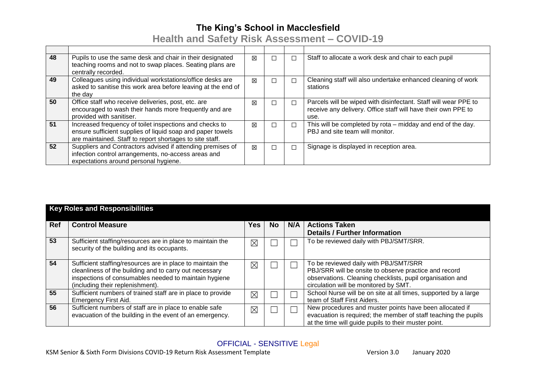**Health and Safety Risk Assessment – COVID-19**

| 48 | Pupils to use the same desk and chair in their designated<br>teaching rooms and not to swap places. Seating plans are<br>centrally recorded.                                      | 冈 |        |   | Staff to allocate a work desk and chair to each pupil                                                                                    |
|----|-----------------------------------------------------------------------------------------------------------------------------------------------------------------------------------|---|--------|---|------------------------------------------------------------------------------------------------------------------------------------------|
| 49 | Colleagues using individual workstations/office desks are<br>asked to sanitise this work area before leaving at the end of<br>the day                                             | 冈 |        |   | Cleaning staff will also undertake enhanced cleaning of work<br>stations                                                                 |
| 50 | Office staff who receive deliveries, post, etc. are<br>encouraged to wash their hands more frequently and are<br>provided with sanitiser.                                         | 冈 | $\Box$ |   | Parcels will be wiped with disinfectant. Staff will wear PPE to<br>receive any delivery. Office staff will have their own PPE to<br>use. |
| 51 | Increased frequency of toilet inspections and checks to<br>ensure sufficient supplies of liquid soap and paper towels<br>are maintained. Staff to report shortages to site staff. | X |        | ┑ | This will be completed by rota – midday and end of the day.<br>PBJ and site team will monitor.                                           |
| 52 | Suppliers and Contractors advised if attending premises of<br>infection control arrangements, no-access areas and<br>expectations around personal hygiene.                        | 区 |        |   | Signage is displayed in reception area.                                                                                                  |

|            | <b>Key Roles and Responsibilities</b>                                                                                                                                                                             |             |     |     |                                                                                                                                                                                                      |  |  |  |  |
|------------|-------------------------------------------------------------------------------------------------------------------------------------------------------------------------------------------------------------------|-------------|-----|-----|------------------------------------------------------------------------------------------------------------------------------------------------------------------------------------------------------|--|--|--|--|
| <b>Ref</b> | <b>Control Measure</b>                                                                                                                                                                                            | Yes         | No. | N/A | <b>Actions Taken</b><br><b>Details / Further Information</b>                                                                                                                                         |  |  |  |  |
| 53         | Sufficient staffing/resources are in place to maintain the<br>security of the building and its occupants.                                                                                                         | $\boxtimes$ |     |     | To be reviewed daily with PBJ/SMT/SRR.                                                                                                                                                               |  |  |  |  |
| 54         | Sufficient staffing/resources are in place to maintain the<br>cleanliness of the building and to carry out necessary<br>inspections of consumables needed to maintain hygiene<br>(including their replenishment). | $\boxtimes$ |     |     | To be reviewed daily with PBJ/SMT/SRR<br>PBJ/SRR will be onsite to observe practice and record<br>observations. Cleaning checklists, pupil organisation and<br>circulation will be monitored by SMT. |  |  |  |  |
| 55         | Sufficient numbers of trained staff are in place to provide<br><b>Emergency First Aid.</b>                                                                                                                        | $\boxtimes$ |     |     | School Nurse will be on site at all times, supported by a large<br>team of Staff First Aiders.                                                                                                       |  |  |  |  |
| 56         | Sufficient numbers of staff are in place to enable safe<br>evacuation of the building in the event of an emergency.                                                                                               | $\boxtimes$ |     |     | New procedures and muster points have been allocated if<br>evacuation is required; the member of staff teaching the pupils<br>at the time will guide pupils to their muster point.                   |  |  |  |  |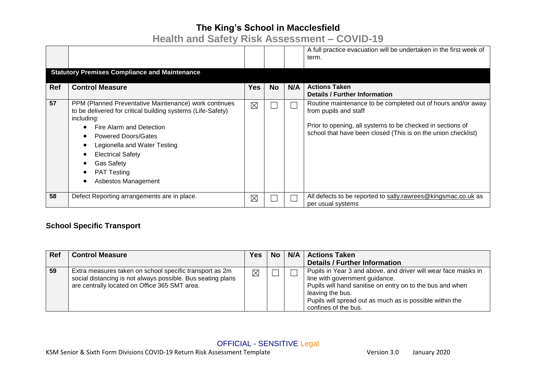# **Health and Safety Risk Assessment – COVID-19**

|            |                                                                                                                                                                                                                                                                                                                            |             |           |     | A full practice evacuation will be undertaken in the first week of<br>term.                                                                                                                                          |
|------------|----------------------------------------------------------------------------------------------------------------------------------------------------------------------------------------------------------------------------------------------------------------------------------------------------------------------------|-------------|-----------|-----|----------------------------------------------------------------------------------------------------------------------------------------------------------------------------------------------------------------------|
|            | <b>Statutory Premises Compliance and Maintenance</b>                                                                                                                                                                                                                                                                       |             |           |     |                                                                                                                                                                                                                      |
| <b>Ref</b> | <b>Control Measure</b>                                                                                                                                                                                                                                                                                                     | <b>Yes</b>  | <b>No</b> | N/A | <b>Actions Taken</b><br><b>Details / Further Information</b>                                                                                                                                                         |
| 57         | PPM (Planned Preventative Maintenance) work continues<br>to be delivered for critical building systems (Life-Safety)<br>including:<br>Fire Alarm and Detection<br><b>Powered Doors/Gates</b><br>Legionella and Water Testing<br><b>Electrical Safety</b><br><b>Gas Safety</b><br><b>PAT Testing</b><br>Asbestos Management | $\boxtimes$ |           |     | Routine maintenance to be completed out of hours and/or away<br>from pupils and staff<br>Prior to opening, all systems to be checked in sections of<br>school that have been closed (This is on the union checklist) |
| 58         | Defect Reporting arrangements are in place.                                                                                                                                                                                                                                                                                | ⊠           |           |     | All defects to be reported to sally.rawrees@kingsmac.co.uk as<br>per usual systems                                                                                                                                   |

#### **School Specific Transport**

| <b>Ref</b> | <b>Control Measure</b>                                                                                                                                                  | <b>Yes</b>  | <b>No</b> | N/A | <b>Actions Taken</b>                                                                                                                                                                                                                                                  |
|------------|-------------------------------------------------------------------------------------------------------------------------------------------------------------------------|-------------|-----------|-----|-----------------------------------------------------------------------------------------------------------------------------------------------------------------------------------------------------------------------------------------------------------------------|
|            |                                                                                                                                                                         |             |           |     | <b>Details / Further Information</b>                                                                                                                                                                                                                                  |
| 59         | Extra measures taken on school specific transport as 2m<br>social distancing is not always possible. Bus seating plans<br>are centrally located on Office 365 SMT area. | $\boxtimes$ |           |     | Pupils in Year 3 and above, and driver will wear face masks in<br>line with government guidance.<br>Pupils will hand sanitise on entry on to the bus and when<br>leaving the bus.<br>Pupils will spread out as much as is possible within the<br>confines of the bus. |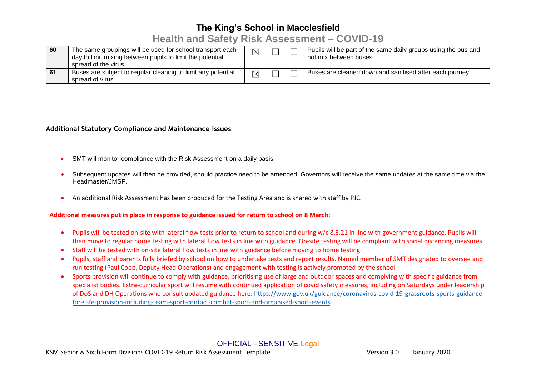### **Health and Safety Risk Assessment – COVID-19**

| 60 | The same groupings will be used for school transport each<br>day to limit mixing between pupils to limit the potential<br>spread of the virus. | $\boxtimes$ |  | Pupils will be part of the same daily groups using the bus and<br>not mix between buses. |
|----|------------------------------------------------------------------------------------------------------------------------------------------------|-------------|--|------------------------------------------------------------------------------------------|
| 61 | Buses are subject to regular cleaning to limit any potential<br>spread of virus                                                                | $\boxtimes$ |  | Buses are cleaned down and sanitised after each journey.                                 |

#### **Additional Statutory Compliance and Maintenance issues**

- SMT will monitor compliance with the Risk Assessment on a daily basis.
- Subsequent updates will then be provided, should practice need to be amended. Governors will receive the same updates at the same time via the Headmaster/JMSP.
- An additional Risk Assessment has been produced for the Testing Area and is shared with staff by PJC.

**Additional measures put in place in response to guidance issued for return to school on 8 March:**

- Pupils will be tested on-site with lateral flow tests prior to return to school and during w/c 8.3.21 in line with government guidance. Pupils will then move to regular home testing with lateral flow tests in line with guidance. On-site testing will be compliant with social distancing measures
- Staff will be tested with on-site lateral flow tests in line with guidance before moving to home testing
- Pupils, staff and parents fully briefed by school on how to undertake tests and report results. Named member of SMT designated to oversee and run testing (Paul Coop, Deputy Head Operations) and engagement with testing is actively promoted by the school
- Sports provision will continue to comply with guidance, prioritising use of large and outdoor spaces and complying with specific guidance from specialist bodies. Extra-curricular sport will resume with continued application of covid safety measures, including on Saturdays under leadership of DoS and DH Operations who consult updated guidance here: [https://www.gov.uk/guidance/coronavirus-covid-19-grassroots-sports-guidance](https://www.gov.uk/guidance/coronavirus-covid-19-grassroots-sports-guidance-for-safe-provision-including-team-sport-contact-combat-sport-and-organised-sport-events)[for-safe-provision-including-team-sport-contact-combat-sport-and-organised-sport-events](https://www.gov.uk/guidance/coronavirus-covid-19-grassroots-sports-guidance-for-safe-provision-including-team-sport-contact-combat-sport-and-organised-sport-events)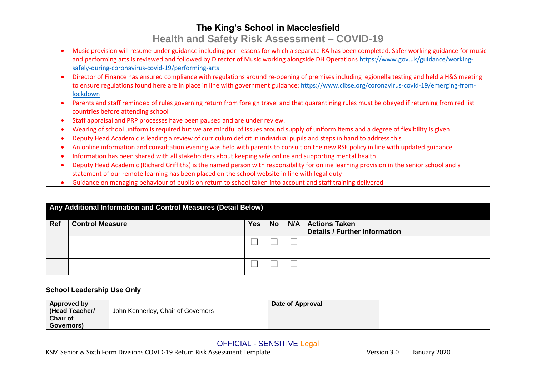## **The King's School in Macclesfield Health and Safety Risk Assessment – COVID-19**

- Music provision will resume under guidance including peri lessons for which a separate RA has been completed. Safer working guidance for music and performing arts is reviewed and followed by Director of Music working alongside DH Operation[s https://www.gov.uk/guidance/working](https://www.gov.uk/guidance/working-safely-during-coronavirus-covid-19/performing-arts)[safely-during-coronavirus-covid-19/performing-arts](https://www.gov.uk/guidance/working-safely-during-coronavirus-covid-19/performing-arts)
- Director of Finance has ensured compliance with regulations around re-opening of premises including legionella testing and held a H&S meeting to ensure regulations found here are in place in line with government guidance[: https://www.cibse.org/coronavirus-covid-19/emerging-from](https://www.cibse.org/coronavirus-covid-19/emerging-from-lockdown)[lockdown](https://www.cibse.org/coronavirus-covid-19/emerging-from-lockdown)
- Parents and staff reminded of rules governing return from foreign travel and that quarantining rules must be obeyed if returning from red list countries before attending school
- Staff appraisal and PRP processes have been paused and are under review.
- Wearing of school uniform is required but we are mindful of issues around supply of uniform items and a degree of flexibility is given
- Deputy Head Academic is leading a review of curriculum deficit in individual pupils and steps in hand to address this
- An online information and consultation evening was held with parents to consult on the new RSE policy in line with updated guidance
- Information has been shared with all stakeholders about keeping safe online and supporting mental health
- Deputy Head Academic (Richard Griffiths) is the named person with responsibility for online learning provision in the senior school and a statement of our remote learning has been placed on the school website in line with legal duty
- Guidance on managing behaviour of pupils on return to school taken into account and staff training delivered

|     | Any Additional Information and Control Measures (Detail Below) |     |           |     |                                                              |  |  |
|-----|----------------------------------------------------------------|-----|-----------|-----|--------------------------------------------------------------|--|--|
| Ref | <b>Control Measure</b>                                         | Yes | <b>No</b> | N/A | <b>Actions Taken</b><br><b>Details / Further Information</b> |  |  |
|     |                                                                |     |           |     |                                                              |  |  |
|     |                                                                |     |           |     |                                                              |  |  |
|     |                                                                |     |           |     |                                                              |  |  |

#### **School Leadership Use Only**

| Approved by     |                                    | Date of Approval |  |
|-----------------|------------------------------------|------------------|--|
| (Head Teacher/  | John Kennerley, Chair of Governors |                  |  |
| <b>Chair of</b> |                                    |                  |  |
| Governors)      |                                    |                  |  |